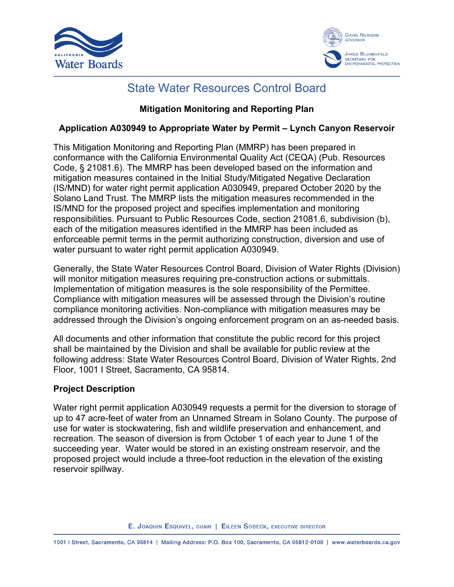



## State Water Resources Control Board

## **Mitigation Monitoring and Reporting Plan**

## **Application A030949 to Appropriate Water by Permit – Lynch Canyon Reservoir**

This Mitigation Monitoring and Reporting Plan (MMRP) has been prepared in conformance with the California Environmental Quality Act (CEQA) (Pub. Resources Code, § 21081.6). The MMRP has been developed based on the information and mitigation measures contained in the Initial Study/Mitigated Negative Declaration (IS/MND) for water right permit application A030949, prepared October 2020 by the Solano Land Trust. The MMRP lists the mitigation measures recommended in the IS/MND for the proposed project and specifies implementation and monitoring responsibilities. Pursuant to Public Resources Code, section 21081.6, subdivision (b), each of the mitigation measures identified in the MMRP has been included as enforceable permit terms in the permit authorizing construction, diversion and use of water pursuant to water right permit application A030949.

Generally, the State Water Resources Control Board, Division of Water Rights (Division) will monitor mitigation measures requiring pre-construction actions or submittals. Implementation of mitigation measures is the sole responsibility of the Permittee. Compliance with mitigation measures will be assessed through the Division's routine compliance monitoring activities. Non-compliance with mitigation measures may be addressed through the Division's ongoing enforcement program on an as-needed basis.

All documents and other information that constitute the public record for this project shall be maintained by the Division and shall be available for public review at the following address: State Water Resources Control Board, Division of Water Rights, 2nd Floor, 1001 I Street, Sacramento, CA 95814.

## **Project Description**

Water right permit application A030949 requests a permit for the diversion to storage of up to 47 acre-feet of water from an Unnamed Stream in Solano County. The purpose of use for water is stockwatering, fish and wildlife preservation and enhancement, and recreation. The season of diversion is from October 1 of each year to June 1 of the succeeding year. Water would be stored in an existing onstream reservoir, and the proposed project would include a three-foot reduction in the elevation of the existing reservoir spillway.

E. JOAQUIN ESQUIVEL, CHAIR | EILEEN SOBECK, EXECUTIVE DIRECTOR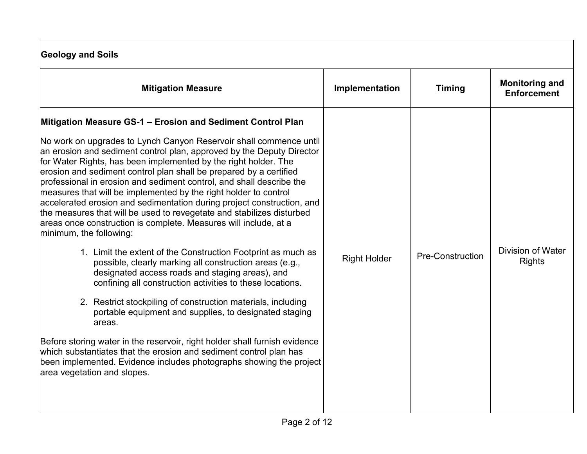| <b>Geology and Soils</b>        |                                             |  |  |
|---------------------------------|---------------------------------------------|--|--|
| Implementation<br><b>Timing</b> | <b>Monitoring and</b><br><b>Enforcement</b> |  |  |
| <b>Pre-Construction</b>         | <b>Division of Water</b><br><b>Rights</b>   |  |  |
|                                 |                                             |  |  |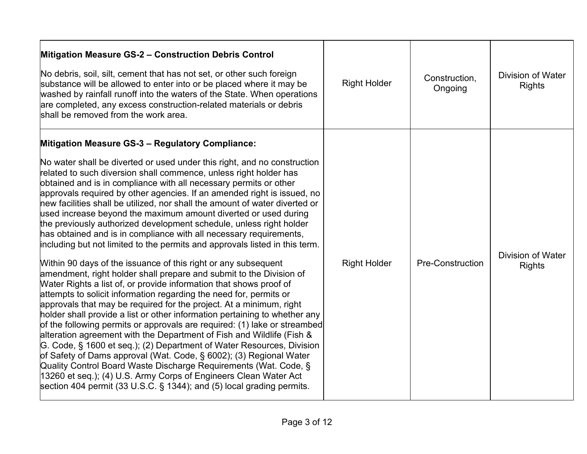| Mitigation Measure GS-2 - Construction Debris Control<br>No debris, soil, silt, cement that has not set, or other such foreign<br>substance will be allowed to enter into or be placed where it may be<br>washed by rainfall runoff into the waters of the State. When operations<br>are completed, any excess construction-related materials or debris<br>shall be removed from the work area.                                                                                                                                                                                                                                                                                                                                                                                                                                                                                                                                                                                                                                                                                                                                                                                                                                                                                                                                                                                                                                                                                                                                                                                                                                                                                                           | <b>Right Holder</b> | Construction.<br>Ongoing | <b>Division of Water</b><br><b>Rights</b> |
|-----------------------------------------------------------------------------------------------------------------------------------------------------------------------------------------------------------------------------------------------------------------------------------------------------------------------------------------------------------------------------------------------------------------------------------------------------------------------------------------------------------------------------------------------------------------------------------------------------------------------------------------------------------------------------------------------------------------------------------------------------------------------------------------------------------------------------------------------------------------------------------------------------------------------------------------------------------------------------------------------------------------------------------------------------------------------------------------------------------------------------------------------------------------------------------------------------------------------------------------------------------------------------------------------------------------------------------------------------------------------------------------------------------------------------------------------------------------------------------------------------------------------------------------------------------------------------------------------------------------------------------------------------------------------------------------------------------|---------------------|--------------------------|-------------------------------------------|
| <b>Mitigation Measure GS-3 - Regulatory Compliance:</b><br>No water shall be diverted or used under this right, and no construction<br>related to such diversion shall commence, unless right holder has<br>obtained and is in compliance with all necessary permits or other<br>approvals required by other agencies. If an amended right is issued, no<br>new facilities shall be utilized, nor shall the amount of water diverted or<br>used increase beyond the maximum amount diverted or used during<br>the previously authorized development schedule, unless right holder<br>has obtained and is in compliance with all necessary requirements,<br>including but not limited to the permits and approvals listed in this term.<br>Within 90 days of the issuance of this right or any subsequent<br>amendment, right holder shall prepare and submit to the Division of<br>Water Rights a list of, or provide information that shows proof of<br>attempts to solicit information regarding the need for, permits or<br>approvals that may be required for the project. At a minimum, right<br>holder shall provide a list or other information pertaining to whether any<br>of the following permits or approvals are required: (1) lake or streambed<br>alteration agreement with the Department of Fish and Wildlife (Fish &<br>G. Code, § 1600 et seq.); (2) Department of Water Resources, Division<br>of Safety of Dams approval (Wat. Code, § 6002); (3) Regional Water<br>Quality Control Board Waste Discharge Requirements (Wat. Code, §<br>13260 et seq.); (4) U.S. Army Corps of Engineers Clean Water Act<br>section 404 permit (33 U.S.C. $\S$ 1344); and (5) local grading permits. | <b>Right Holder</b> | <b>Pre-Construction</b>  | <b>Division of Water</b><br><b>Rights</b> |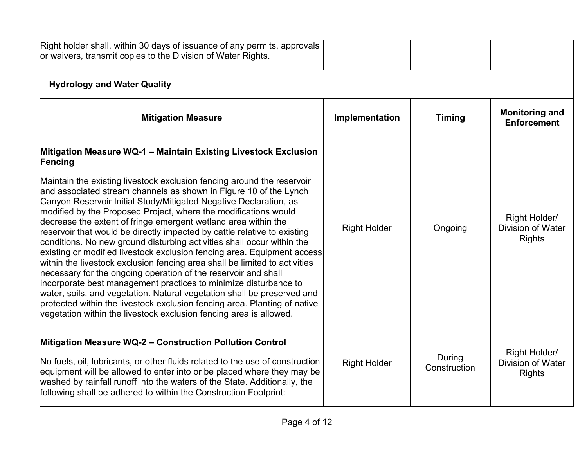| Right holder shall, within 30 days of issuance of any permits, approvals<br>or waivers, transmit copies to the Division of Water Rights.                                                                                                                                                                                                                                                                                                                                                                                                                                                                                                                                                                                                                                                                                                                                                                                                                                                                                                 |                     |                        |                                                            |
|------------------------------------------------------------------------------------------------------------------------------------------------------------------------------------------------------------------------------------------------------------------------------------------------------------------------------------------------------------------------------------------------------------------------------------------------------------------------------------------------------------------------------------------------------------------------------------------------------------------------------------------------------------------------------------------------------------------------------------------------------------------------------------------------------------------------------------------------------------------------------------------------------------------------------------------------------------------------------------------------------------------------------------------|---------------------|------------------------|------------------------------------------------------------|
| <b>Hydrology and Water Quality</b>                                                                                                                                                                                                                                                                                                                                                                                                                                                                                                                                                                                                                                                                                                                                                                                                                                                                                                                                                                                                       |                     |                        |                                                            |
| <b>Mitigation Measure</b>                                                                                                                                                                                                                                                                                                                                                                                                                                                                                                                                                                                                                                                                                                                                                                                                                                                                                                                                                                                                                | Implementation      | <b>Timing</b>          | <b>Monitoring and</b><br><b>Enforcement</b>                |
| Mitigation Measure WQ-1 - Maintain Existing Livestock Exclusion<br>Fencing                                                                                                                                                                                                                                                                                                                                                                                                                                                                                                                                                                                                                                                                                                                                                                                                                                                                                                                                                               |                     |                        |                                                            |
| Maintain the existing livestock exclusion fencing around the reservoir<br>and associated stream channels as shown in Figure 10 of the Lynch<br>Canyon Reservoir Initial Study/Mitigated Negative Declaration, as<br>modified by the Proposed Project, where the modifications would<br>decrease the extent of fringe emergent wetland area within the<br>reservoir that would be directly impacted by cattle relative to existing<br>conditions. No new ground disturbing activities shall occur within the<br>existing or modified livestock exclusion fencing area. Equipment access<br>within the livestock exclusion fencing area shall be limited to activities<br>necessary for the ongoing operation of the reservoir and shall<br>incorporate best management practices to minimize disturbance to<br>water, soils, and vegetation. Natural vegetation shall be preserved and<br>protected within the livestock exclusion fencing area. Planting of native<br>vegetation within the livestock exclusion fencing area is allowed. | <b>Right Holder</b> | Ongoing                | Right Holder/<br>Division of Water<br><b>Rights</b>        |
| Mitigation Measure WQ-2 - Construction Pollution Control<br>No fuels, oil, lubricants, or other fluids related to the use of construction<br>equipment will be allowed to enter into or be placed where they may be<br>washed by rainfall runoff into the waters of the State. Additionally, the<br>following shall be adhered to within the Construction Footprint:                                                                                                                                                                                                                                                                                                                                                                                                                                                                                                                                                                                                                                                                     | <b>Right Holder</b> | During<br>Construction | Right Holder/<br><b>Division of Water</b><br><b>Rights</b> |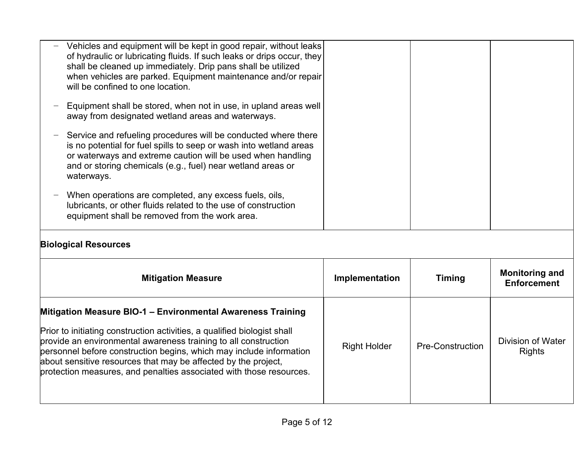| Mitigation Measure BIO-1 - Environmental Awareness Training<br>Prior to initiating construction activities, a qualified biologist shall<br>provide an environmental awareness training to all construction<br>personnel before construction begins, which may include information<br>about sensitive resources that may be affected by the project,<br>protection measures, and penalties associated with those resources. | <b>Right Holder</b> | <b>Pre-Construction</b> | <b>Division of Water</b><br><b>Rights</b>   |
|----------------------------------------------------------------------------------------------------------------------------------------------------------------------------------------------------------------------------------------------------------------------------------------------------------------------------------------------------------------------------------------------------------------------------|---------------------|-------------------------|---------------------------------------------|
| <b>Mitigation Measure</b>                                                                                                                                                                                                                                                                                                                                                                                                  | Implementation      | <b>Timing</b>           | <b>Monitoring and</b><br><b>Enforcement</b> |
| <b>Biological Resources</b>                                                                                                                                                                                                                                                                                                                                                                                                |                     |                         |                                             |
| When operations are completed, any excess fuels, oils,<br>lubricants, or other fluids related to the use of construction<br>equipment shall be removed from the work area.                                                                                                                                                                                                                                                 |                     |                         |                                             |
| Service and refueling procedures will be conducted where there<br>is no potential for fuel spills to seep or wash into wetland areas<br>or waterways and extreme caution will be used when handling<br>and or storing chemicals (e.g., fuel) near wetland areas or<br>waterways.                                                                                                                                           |                     |                         |                                             |
| Equipment shall be stored, when not in use, in upland areas well<br>away from designated wetland areas and waterways.                                                                                                                                                                                                                                                                                                      |                     |                         |                                             |
| Vehicles and equipment will be kept in good repair, without leaks<br>of hydraulic or lubricating fluids. If such leaks or drips occur, they<br>shall be cleaned up immediately. Drip pans shall be utilized<br>when vehicles are parked. Equipment maintenance and/or repair<br>will be confined to one location.                                                                                                          |                     |                         |                                             |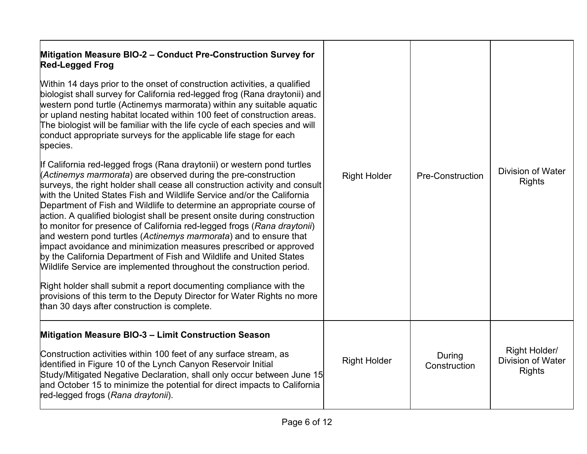| Mitigation Measure BIO-2 - Conduct Pre-Construction Survey for<br><b>Red-Legged Frog</b><br>Within 14 days prior to the onset of construction activities, a qualified<br>biologist shall survey for California red-legged frog (Rana draytonii) and<br>western pond turtle (Actinemys marmorata) within any suitable aquatic<br>or upland nesting habitat located within 100 feet of construction areas.<br>The biologist will be familiar with the life cycle of each species and will<br>conduct appropriate surveys for the applicable life stage for each<br>species.<br>If California red-legged frogs (Rana draytonii) or western pond turtles<br>(Actinemys marmorata) are observed during the pre-construction<br>surveys, the right holder shall cease all construction activity and consult<br>with the United States Fish and Wildlife Service and/or the California<br>Department of Fish and Wildlife to determine an appropriate course of<br>action. A qualified biologist shall be present onsite during construction<br>to monitor for presence of California red-legged frogs (Rana draytonii)<br>and western pond turtles (Actinemys marmorata) and to ensure that<br>impact avoidance and minimization measures prescribed or approved<br>by the California Department of Fish and Wildlife and United States<br>Wildlife Service are implemented throughout the construction period.<br>Right holder shall submit a report documenting compliance with the<br>provisions of this term to the Deputy Director for Water Rights no more<br>than 30 days after construction is complete. | <b>Right Holder</b> | Pre-Construction       | <b>Division of Water</b><br><b>Rights</b>                  |
|------------------------------------------------------------------------------------------------------------------------------------------------------------------------------------------------------------------------------------------------------------------------------------------------------------------------------------------------------------------------------------------------------------------------------------------------------------------------------------------------------------------------------------------------------------------------------------------------------------------------------------------------------------------------------------------------------------------------------------------------------------------------------------------------------------------------------------------------------------------------------------------------------------------------------------------------------------------------------------------------------------------------------------------------------------------------------------------------------------------------------------------------------------------------------------------------------------------------------------------------------------------------------------------------------------------------------------------------------------------------------------------------------------------------------------------------------------------------------------------------------------------------------------------------------------------------------------------------------------|---------------------|------------------------|------------------------------------------------------------|
| Mitigation Measure BIO-3 - Limit Construction Season<br>Construction activities within 100 feet of any surface stream, as<br>identified in Figure 10 of the Lynch Canyon Reservoir Initial<br>Study/Mitigated Negative Declaration, shall only occur between June 15<br>and October 15 to minimize the potential for direct impacts to California<br>red-legged frogs (Rana draytonii).                                                                                                                                                                                                                                                                                                                                                                                                                                                                                                                                                                                                                                                                                                                                                                                                                                                                                                                                                                                                                                                                                                                                                                                                                    | <b>Right Holder</b> | During<br>Construction | Right Holder/<br><b>Division of Water</b><br><b>Rights</b> |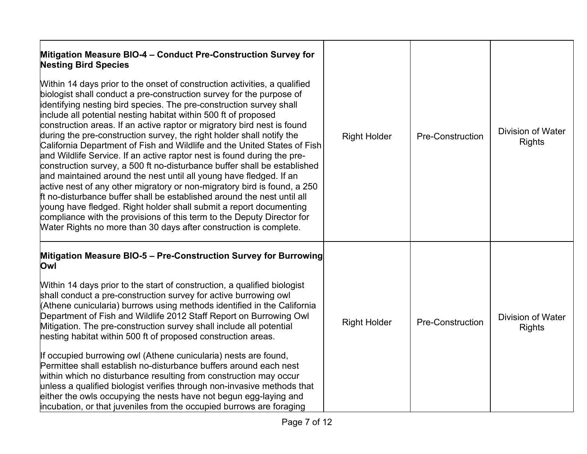| Mitigation Measure BIO-4 - Conduct Pre-Construction Survey for<br><b>Nesting Bird Species</b><br>Within 14 days prior to the onset of construction activities, a qualified<br>biologist shall conduct a pre-construction survey for the purpose of<br>identifying nesting bird species. The pre-construction survey shall<br>include all potential nesting habitat within 500 ft of proposed<br>construction areas. If an active raptor or migratory bird nest is found<br>during the pre-construction survey, the right holder shall notify the<br>California Department of Fish and Wildlife and the United States of Fish<br>and Wildlife Service. If an active raptor nest is found during the pre-<br>construction survey, a 500 ft no-disturbance buffer shall be established<br>and maintained around the nest until all young have fledged. If an<br>active nest of any other migratory or non-migratory bird is found, a 250<br>Ift no-disturbance buffer shall be established around the nest until all<br>young have fledged. Right holder shall submit a report documenting<br>compliance with the provisions of this term to the Deputy Director for<br>Water Rights no more than 30 days after construction is complete. | <b>Right Holder</b> | <b>Pre-Construction</b> | <b>Division of Water</b><br><b>Rights</b> |
|----------------------------------------------------------------------------------------------------------------------------------------------------------------------------------------------------------------------------------------------------------------------------------------------------------------------------------------------------------------------------------------------------------------------------------------------------------------------------------------------------------------------------------------------------------------------------------------------------------------------------------------------------------------------------------------------------------------------------------------------------------------------------------------------------------------------------------------------------------------------------------------------------------------------------------------------------------------------------------------------------------------------------------------------------------------------------------------------------------------------------------------------------------------------------------------------------------------------------------------|---------------------|-------------------------|-------------------------------------------|
| Mitigation Measure BIO-5 - Pre-Construction Survey for Burrowing<br>Owl<br>Within 14 days prior to the start of construction, a qualified biologist<br>shall conduct a pre-construction survey for active burrowing owl<br>(Athene cunicularia) burrows using methods identified in the California<br>Department of Fish and Wildlife 2012 Staff Report on Burrowing Owl<br>Mitigation. The pre-construction survey shall include all potential<br>nesting habitat within 500 ft of proposed construction areas.<br>If occupied burrowing owl (Athene cunicularia) nests are found,<br>Permittee shall establish no-disturbance buffers around each nest<br>within which no disturbance resulting from construction may occur<br>unless a qualified biologist verifies through non-invasive methods that<br>either the owls occupying the nests have not begun egg-laying and<br>incubation, or that juveniles from the occupied burrows are foraging                                                                                                                                                                                                                                                                                  | <b>Right Holder</b> | <b>Pre-Construction</b> | <b>Division of Water</b><br><b>Rights</b> |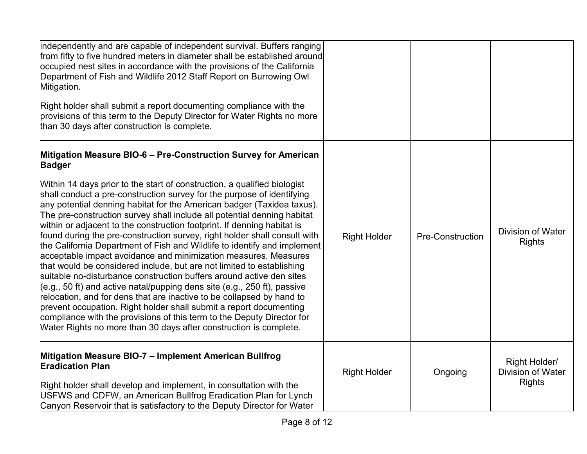| independently and are capable of independent survival. Buffers ranging<br>from fifty to five hundred meters in diameter shall be established around<br>occupied nest sites in accordance with the provisions of the California<br>Department of Fish and Wildlife 2012 Staff Report on Burrowing Owl<br>Mitigation.<br>Right holder shall submit a report documenting compliance with the<br>provisions of this term to the Deputy Director for Water Rights no more<br>than 30 days after construction is complete.                                                                                                                                                                                                                                                                                                                                                                                                                                                                                                                                                                                                                      |                     |                         |                                                     |
|-------------------------------------------------------------------------------------------------------------------------------------------------------------------------------------------------------------------------------------------------------------------------------------------------------------------------------------------------------------------------------------------------------------------------------------------------------------------------------------------------------------------------------------------------------------------------------------------------------------------------------------------------------------------------------------------------------------------------------------------------------------------------------------------------------------------------------------------------------------------------------------------------------------------------------------------------------------------------------------------------------------------------------------------------------------------------------------------------------------------------------------------|---------------------|-------------------------|-----------------------------------------------------|
| Mitigation Measure BIO-6 - Pre-Construction Survey for American<br><b>Badger</b>                                                                                                                                                                                                                                                                                                                                                                                                                                                                                                                                                                                                                                                                                                                                                                                                                                                                                                                                                                                                                                                          |                     |                         |                                                     |
| Within 14 days prior to the start of construction, a qualified biologist<br>shall conduct a pre-construction survey for the purpose of identifying<br>any potential denning habitat for the American badger (Taxidea taxus).<br>The pre-construction survey shall include all potential denning habitat<br>within or adjacent to the construction footprint. If denning habitat is<br>found during the pre-construction survey, right holder shall consult with<br>the California Department of Fish and Wildlife to identify and implement<br>acceptable impact avoidance and minimization measures. Measures<br>that would be considered include, but are not limited to establishing<br>suitable no-disturbance construction buffers around active den sites<br>(e.g., 50 ft) and active natal/pupping dens site (e.g., 250 ft), passive<br>relocation, and for dens that are inactive to be collapsed by hand to<br>prevent occupation. Right holder shall submit a report documenting<br>compliance with the provisions of this term to the Deputy Director for<br>Water Rights no more than 30 days after construction is complete. | <b>Right Holder</b> | <b>Pre-Construction</b> | Division of Water<br><b>Rights</b>                  |
| Mitigation Measure BIO-7 - Implement American Bullfrog<br><b>Eradication Plan</b><br>Right holder shall develop and implement, in consultation with the<br>USFWS and CDFW, an American Bullfrog Eradication Plan for Lynch<br>Canyon Reservoir that is satisfactory to the Deputy Director for Water                                                                                                                                                                                                                                                                                                                                                                                                                                                                                                                                                                                                                                                                                                                                                                                                                                      | <b>Right Holder</b> | Ongoing                 | Right Holder/<br>Division of Water<br><b>Rights</b> |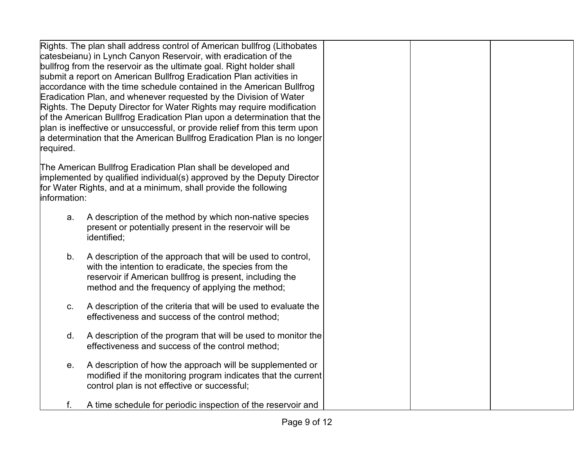| Rights. The plan shall address control of American bullfrog (Lithobates<br>catesbeianu) in Lynch Canyon Reservoir, with eradication of the<br>bullfrog from the reservoir as the ultimate goal. Right holder shall<br>submit a report on American Bullfrog Eradication Plan activities in<br>accordance with the time schedule contained in the American Bullfrog<br>Eradication Plan, and whenever requested by the Division of Water<br>Rights. The Deputy Director for Water Rights may require modification<br>of the American Bullfrog Eradication Plan upon a determination that the<br>plan is ineffective or unsuccessful, or provide relief from this term upon<br>a determination that the American Bullfrog Eradication Plan is no longer<br>required. |  |
|-------------------------------------------------------------------------------------------------------------------------------------------------------------------------------------------------------------------------------------------------------------------------------------------------------------------------------------------------------------------------------------------------------------------------------------------------------------------------------------------------------------------------------------------------------------------------------------------------------------------------------------------------------------------------------------------------------------------------------------------------------------------|--|
| The American Bullfrog Eradication Plan shall be developed and<br>implemented by qualified individual(s) approved by the Deputy Director<br>for Water Rights, and at a minimum, shall provide the following<br>information:                                                                                                                                                                                                                                                                                                                                                                                                                                                                                                                                        |  |
| A description of the method by which non-native species<br>a.<br>present or potentially present in the reservoir will be<br>identified;                                                                                                                                                                                                                                                                                                                                                                                                                                                                                                                                                                                                                           |  |
| A description of the approach that will be used to control,<br>b.<br>with the intention to eradicate, the species from the<br>reservoir if American bullfrog is present, including the<br>method and the frequency of applying the method;                                                                                                                                                                                                                                                                                                                                                                                                                                                                                                                        |  |
| A description of the criteria that will be used to evaluate the<br>C.<br>effectiveness and success of the control method;                                                                                                                                                                                                                                                                                                                                                                                                                                                                                                                                                                                                                                         |  |
| A description of the program that will be used to monitor the<br>d.<br>effectiveness and success of the control method;                                                                                                                                                                                                                                                                                                                                                                                                                                                                                                                                                                                                                                           |  |
| A description of how the approach will be supplemented or<br>е.<br>modified if the monitoring program indicates that the current<br>control plan is not effective or successful;                                                                                                                                                                                                                                                                                                                                                                                                                                                                                                                                                                                  |  |
| A time schedule for periodic inspection of the reservoir and<br>f.                                                                                                                                                                                                                                                                                                                                                                                                                                                                                                                                                                                                                                                                                                |  |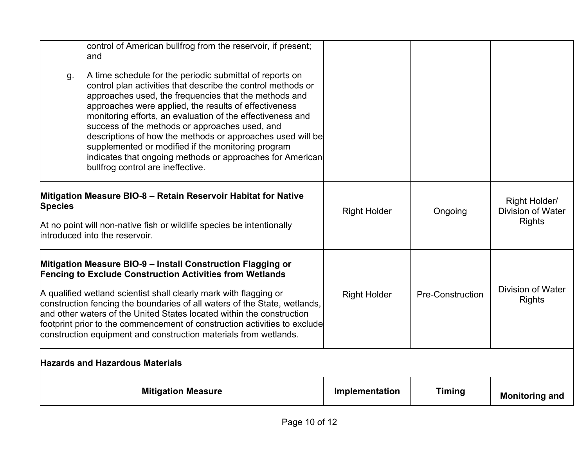| <b>Mitigation Measure</b>                                                                                                                                                                                                                                                                                                                                                                                                                                                                                                                                                                     | Implementation      | <b>Timing</b>           | <b>Monitoring and</b>                                      |
|-----------------------------------------------------------------------------------------------------------------------------------------------------------------------------------------------------------------------------------------------------------------------------------------------------------------------------------------------------------------------------------------------------------------------------------------------------------------------------------------------------------------------------------------------------------------------------------------------|---------------------|-------------------------|------------------------------------------------------------|
| <b>Hazards and Hazardous Materials</b>                                                                                                                                                                                                                                                                                                                                                                                                                                                                                                                                                        |                     |                         |                                                            |
| Mitigation Measure BIO-9 - Install Construction Flagging or<br><b>Fencing to Exclude Construction Activities from Wetlands</b><br>A qualified wetland scientist shall clearly mark with flagging or<br>construction fencing the boundaries of all waters of the State, wetlands,<br>and other waters of the United States located within the construction<br>footprint prior to the commencement of construction activities to exclude<br>construction equipment and construction materials from wetlands.                                                                                    | <b>Right Holder</b> | <b>Pre-Construction</b> | Division of Water<br><b>Rights</b>                         |
| Mitigation Measure BIO-8 - Retain Reservoir Habitat for Native<br><b>Species</b><br>At no point will non-native fish or wildlife species be intentionally<br>introduced into the reservoir.                                                                                                                                                                                                                                                                                                                                                                                                   | <b>Right Holder</b> | Ongoing                 | Right Holder/<br><b>Division of Water</b><br><b>Rights</b> |
| and<br>A time schedule for the periodic submittal of reports on<br>g.<br>control plan activities that describe the control methods or<br>approaches used, the frequencies that the methods and<br>approaches were applied, the results of effectiveness<br>monitoring efforts, an evaluation of the effectiveness and<br>success of the methods or approaches used, and<br>descriptions of how the methods or approaches used will be<br>supplemented or modified if the monitoring program<br>indicates that ongoing methods or approaches for American<br>bullfrog control are ineffective. |                     |                         |                                                            |
| control of American bullfrog from the reservoir, if present;                                                                                                                                                                                                                                                                                                                                                                                                                                                                                                                                  |                     |                         |                                                            |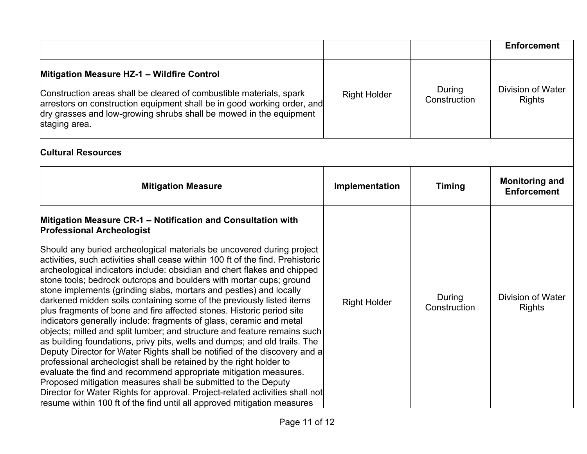|                                                                                                                                                                                                                                                                                                                                                                                                                                                                                                                                                                                                                                                                                                                                                                                                                                                                                                                                                                                                                                                                                                                                                                                                                                                                                                                         |                     |                        | <b>Enforcement</b>                          |
|-------------------------------------------------------------------------------------------------------------------------------------------------------------------------------------------------------------------------------------------------------------------------------------------------------------------------------------------------------------------------------------------------------------------------------------------------------------------------------------------------------------------------------------------------------------------------------------------------------------------------------------------------------------------------------------------------------------------------------------------------------------------------------------------------------------------------------------------------------------------------------------------------------------------------------------------------------------------------------------------------------------------------------------------------------------------------------------------------------------------------------------------------------------------------------------------------------------------------------------------------------------------------------------------------------------------------|---------------------|------------------------|---------------------------------------------|
| Mitigation Measure HZ-1 - Wildfire Control<br>Construction areas shall be cleared of combustible materials, spark<br>arrestors on construction equipment shall be in good working order, and<br>dry grasses and low-growing shrubs shall be mowed in the equipment<br>staging area.                                                                                                                                                                                                                                                                                                                                                                                                                                                                                                                                                                                                                                                                                                                                                                                                                                                                                                                                                                                                                                     | <b>Right Holder</b> | During<br>Construction | <b>Division of Water</b><br><b>Rights</b>   |
| <b>Cultural Resources</b>                                                                                                                                                                                                                                                                                                                                                                                                                                                                                                                                                                                                                                                                                                                                                                                                                                                                                                                                                                                                                                                                                                                                                                                                                                                                                               |                     |                        |                                             |
| <b>Mitigation Measure</b>                                                                                                                                                                                                                                                                                                                                                                                                                                                                                                                                                                                                                                                                                                                                                                                                                                                                                                                                                                                                                                                                                                                                                                                                                                                                                               | Implementation      | <b>Timing</b>          | <b>Monitoring and</b><br><b>Enforcement</b> |
| Mitigation Measure CR-1 - Notification and Consultation with<br><b>Professional Archeologist</b><br>Should any buried archeological materials be uncovered during project<br>activities, such activities shall cease within 100 ft of the find. Prehistoric<br>archeological indicators include: obsidian and chert flakes and chipped<br>stone tools; bedrock outcrops and boulders with mortar cups; ground<br>stone implements (grinding slabs, mortars and pestles) and locally<br>darkened midden soils containing some of the previously listed items<br>plus fragments of bone and fire affected stones. Historic period site<br>indicators generally include: fragments of glass, ceramic and metal<br>objects; milled and split lumber; and structure and feature remains such<br>as building foundations, privy pits, wells and dumps; and old trails. The<br>Deputy Director for Water Rights shall be notified of the discovery and a<br>professional archeologist shall be retained by the right holder to<br>evaluate the find and recommend appropriate mitigation measures.<br>Proposed mitigation measures shall be submitted to the Deputy<br>Director for Water Rights for approval. Project-related activities shall not<br>resume within 100 ft of the find until all approved mitigation measures | <b>Right Holder</b> | During<br>Construction | <b>Division of Water</b><br><b>Rights</b>   |